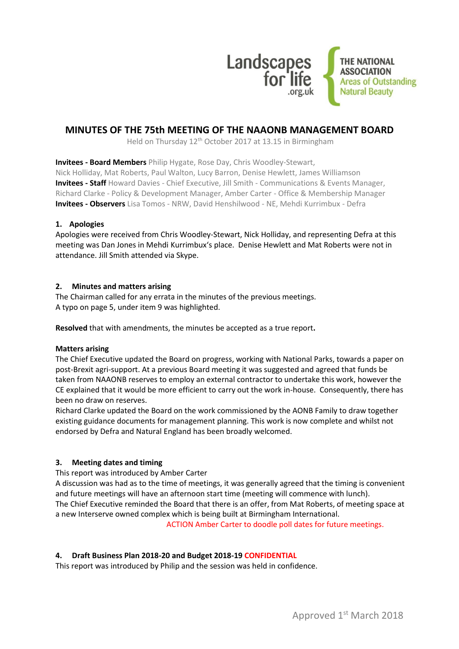

# **MINUTES OF THE 75th MEETING OF THE NAAONB MANAGEMENT BOARD**

Held on Thursday 12<sup>th</sup> October 2017 at 13.15 in Birmingham

**Invitees - Board Members** Philip Hygate, Rose Day, Chris Woodley-Stewart,

Nick Holliday, Mat Roberts, Paul Walton, Lucy Barron, Denise Hewlett, James Williamson **Invitees - Staff** Howard Davies - Chief Executive, Jill Smith - Communications & Events Manager, Richard Clarke - Policy & Development Manager, Amber Carter - Office & Membership Manager **Invitees - Observers** Lisa Tomos - NRW, David Henshilwood - NE, Mehdi Kurrimbux - Defra

# **1. Apologies**

Apologies were received from Chris Woodley-Stewart, Nick Holliday, and representing Defra at this meeting was Dan Jones in Mehdi Kurrimbux's place. Denise Hewlett and Mat Roberts were not in attendance. Jill Smith attended via Skype.

## **2. Minutes and matters arising**

The Chairman called for any errata in the minutes of the previous meetings. A typo on page 5, under item 9 was highlighted.

**Resolved** that with amendments, the minutes be accepted as a true report**.**

#### **Matters arising**

The Chief Executive updated the Board on progress, working with National Parks, towards a paper on post-Brexit agri-support. At a previous Board meeting it was suggested and agreed that funds be taken from NAAONB reserves to employ an external contractor to undertake this work, however the CE explained that it would be more efficient to carry out the work in-house. Consequently, there has been no draw on reserves.

Richard Clarke updated the Board on the work commissioned by the AONB Family to draw together existing guidance documents for management planning. This work is now complete and whilst not endorsed by Defra and Natural England has been broadly welcomed.

# **3. Meeting dates and timing**

This report was introduced by Amber Carter

A discussion was had as to the time of meetings, it was generally agreed that the timing is convenient and future meetings will have an afternoon start time (meeting will commence with lunch). The Chief Executive reminded the Board that there is an offer, from Mat Roberts, of meeting space at a new Interserve owned complex which is being built at Birmingham International.

ACTION Amber Carter to doodle poll dates for future meetings.

# **4. Draft Business Plan 2018-20 and Budget 2018-19 CONFIDENTIAL**

This report was introduced by Philip and the session was held in confidence.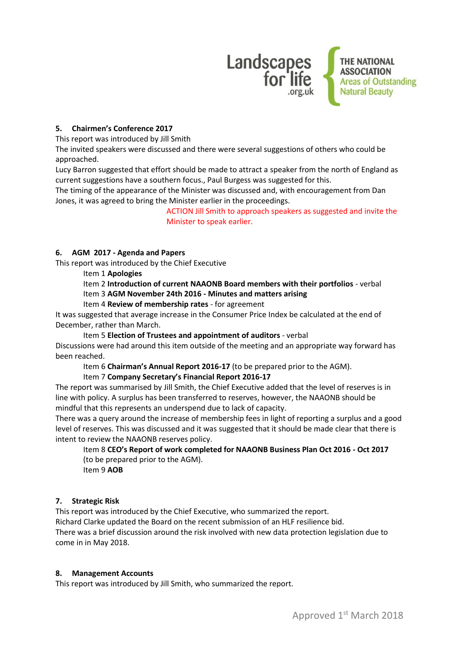

# **5. Chairmen's Conference 2017**

This report was introduced by Jill Smith

The invited speakers were discussed and there were several suggestions of others who could be approached.

Lucy Barron suggested that effort should be made to attract a speaker from the north of England as current suggestions have a southern focus., Paul Burgess was suggested for this.

The timing of the appearance of the Minister was discussed and, with encouragement from Dan Jones, it was agreed to bring the Minister earlier in the proceedings.

> ACTION Jill Smith to approach speakers as suggested and invite the Minister to speak earlier.

## **6. AGM 2017 - Agenda and Papers**

This report was introduced by the Chief Executive

Item 1 **Apologies**

Item 2 **Introduction of current NAAONB Board members with their portfolios** - verbal Item 3 **AGM November 24th 2016 - Minutes and matters arising**

Item 4 **Review of membership rates** - for agreement

It was suggested that average increase in the Consumer Price Index be calculated at the end of December, rather than March.

Item 5 **Election of Trustees and appointment of auditors** - verbal

Discussions were had around this item outside of the meeting and an appropriate way forward has been reached.

Item 6 **Chairman's Annual Report 2016-17** (to be prepared prior to the AGM).

Item 7 **Company Secretary's Financial Report 2016-17**

The report was summarised by Jill Smith, the Chief Executive added that the level of reserves is in line with policy. A surplus has been transferred to reserves, however, the NAAONB should be mindful that this represents an underspend due to lack of capacity.

There was a query around the increase of membership fees in light of reporting a surplus and a good level of reserves. This was discussed and it was suggested that it should be made clear that there is intent to review the NAAONB reserves policy.

Item 8 **CEO's Report of work completed for NAAONB Business Plan Oct 2016 - Oct 2017** (to be prepared prior to the AGM).

Item 9 **AOB**

#### **7. Strategic Risk**

This report was introduced by the Chief Executive, who summarized the report. Richard Clarke updated the Board on the recent submission of an HLF resilience bid. There was a brief discussion around the risk involved with new data protection legislation due to come in in May 2018.

#### **8. Management Accounts**

This report was introduced by Jill Smith, who summarized the report.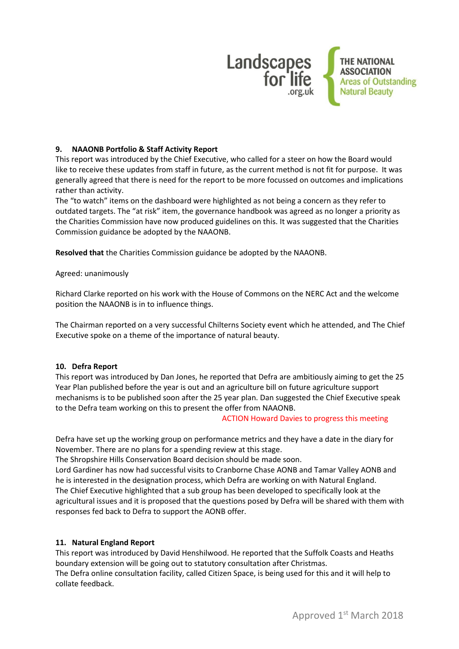

## **9. NAAONB Portfolio & Staff Activity Report**

This report was introduced by the Chief Executive, who called for a steer on how the Board would like to receive these updates from staff in future, as the current method is not fit for purpose. It was generally agreed that there is need for the report to be more focussed on outcomes and implications rather than activity.

The "to watch" items on the dashboard were highlighted as not being a concern as they refer to outdated targets. The "at risk" item, the governance handbook was agreed as no longer a priority as the Charities Commission have now produced guidelines on this. It was suggested that the Charities Commission guidance be adopted by the NAAONB.

**Resolved that** the Charities Commission guidance be adopted by the NAAONB.

#### Agreed: unanimously

Richard Clarke reported on his work with the House of Commons on the NERC Act and the welcome position the NAAONB is in to influence things.

The Chairman reported on a very successful Chilterns Society event which he attended, and The Chief Executive spoke on a theme of the importance of natural beauty.

#### **10. Defra Report**

This report was introduced by Dan Jones, he reported that Defra are ambitiously aiming to get the 25 Year Plan published before the year is out and an agriculture bill on future agriculture support mechanisms is to be published soon after the 25 year plan. Dan suggested the Chief Executive speak to the Defra team working on this to present the offer from NAAONB.

#### ACTION Howard Davies to progress this meeting

Defra have set up the working group on performance metrics and they have a date in the diary for November. There are no plans for a spending review at this stage.

The Shropshire Hills Conservation Board decision should be made soon.

Lord Gardiner has now had successful visits to Cranborne Chase AONB and Tamar Valley AONB and he is interested in the designation process, which Defra are working on with Natural England. The Chief Executive highlighted that a sub group has been developed to specifically look at the agricultural issues and it is proposed that the questions posed by Defra will be shared with them with responses fed back to Defra to support the AONB offer.

#### **11. Natural England Report**

This report was introduced by David Henshilwood. He reported that the Suffolk Coasts and Heaths boundary extension will be going out to statutory consultation after Christmas. The Defra online consultation facility, called Citizen Space, is being used for this and it will help to collate feedback.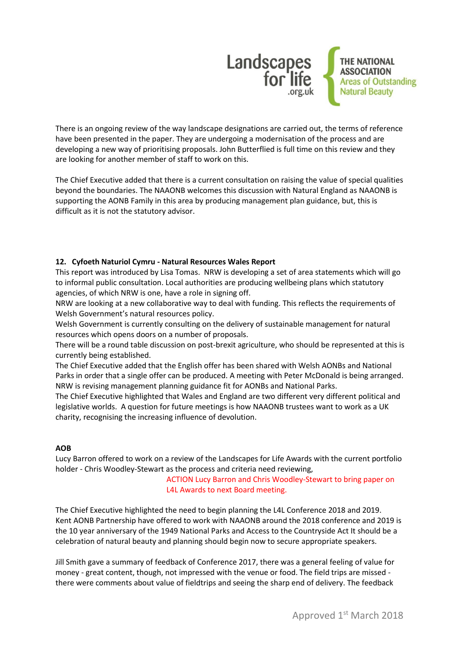

There is an ongoing review of the way landscape designations are carried out, the terms of reference have been presented in the paper. They are undergoing a modernisation of the process and are developing a new way of prioritising proposals. John Butterflied is full time on this review and they are looking for another member of staff to work on this.

The Chief Executive added that there is a current consultation on raising the value of special qualities beyond the boundaries. The NAAONB welcomes this discussion with Natural England as NAAONB is supporting the AONB Family in this area by producing management plan guidance, but, this is difficult as it is not the statutory advisor.

## **12. Cyfoeth Naturiol Cymru - Natural Resources Wales Report**

This report was introduced by Lisa Tomas. NRW is developing a set of area statements which will go to informal public consultation. Local authorities are producing wellbeing plans which statutory agencies, of which NRW is one, have a role in signing off.

NRW are looking at a new collaborative way to deal with funding. This reflects the requirements of Welsh Government's natural resources policy.

Welsh Government is currently consulting on the delivery of sustainable management for natural resources which opens doors on a number of proposals.

There will be a round table discussion on post-brexit agriculture, who should be represented at this is currently being established.

The Chief Executive added that the English offer has been shared with Welsh AONBs and National Parks in order that a single offer can be produced. A meeting with Peter McDonald is being arranged. NRW is revising management planning guidance fit for AONBs and National Parks.

The Chief Executive highlighted that Wales and England are two different very different political and legislative worlds. A question for future meetings is how NAAONB trustees want to work as a UK charity, recognising the increasing influence of devolution.

#### **AOB**

Lucy Barron offered to work on a review of the Landscapes for Life Awards with the current portfolio holder - Chris Woodley-Stewart as the process and criteria need reviewing,

> ACTION Lucy Barron and Chris Woodley-Stewart to bring paper on L4L Awards to next Board meeting.

The Chief Executive highlighted the need to begin planning the L4L Conference 2018 and 2019. Kent AONB Partnership have offered to work with NAAONB around the 2018 conference and 2019 is the 10 year anniversary of the 1949 National Parks and Access to the Countryside Act It should be a celebration of natural beauty and planning should begin now to secure appropriate speakers.

Jill Smith gave a summary of feedback of Conference 2017, there was a general feeling of value for money - great content, though, not impressed with the venue or food. The field trips are missed there were comments about value of fieldtrips and seeing the sharp end of delivery. The feedback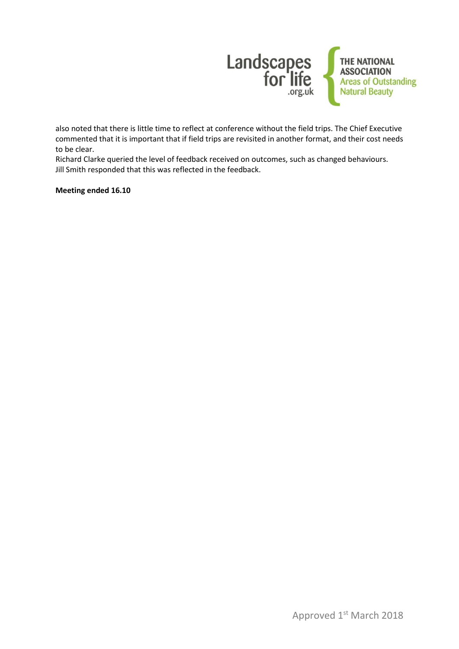

also noted that there is little time to reflect at conference without the field trips. The Chief Executive commented that it is important that if field trips are revisited in another format, and their cost needs to be clear.

Richard Clarke queried the level of feedback received on outcomes, such as changed behaviours. Jill Smith responded that this was reflected in the feedback.

**Meeting ended 16.10**